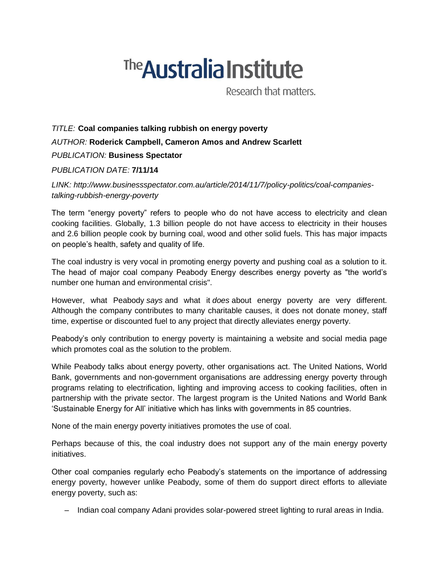# <sup>The</sup> Australia Institute

Research that matters.

## *TITLE:* **Coal companies talking rubbish on energy poverty** *AUTHOR:* **Roderick Campbell, Cameron Amos and Andrew Scarlett** *PUBLICATION:* **Business Spectator**

### *PUBLICATION DATE:* **7/11/14**

*LINK: http://www.businessspectator.com.au/article/2014/11/7/policy-politics/coal-companiestalking-rubbish-energy-poverty*

The term "energy poverty" refers to people who do not have access to electricity and clean cooking facilities. Globally, 1.3 billion people do not have access to electricity in their houses and 2.6 billion people cook by burning coal, wood and other solid fuels. This has major impacts on people's health, safety and quality of life.

The coal industry is very vocal in promoting energy poverty and pushing coal as a solution to it. The head of major coal company Peabody Energy describes energy poverty as "the world's number one human and environmental crisis".

However, what Peabody *says* and what it *does* about energy poverty are very different. Although the company contributes to many charitable causes, it does not donate money, staff time, expertise or discounted fuel to any project that directly alleviates energy poverty.

Peabody's only contribution to energy poverty is maintaining a website and social media page which promotes coal as the solution to the problem.

While Peabody talks about energy poverty, other organisations act. The United Nations, World Bank, governments and non-government organisations are addressing energy poverty through programs relating to electrification, lighting and improving access to cooking facilities, often in partnership with the private sector. The largest program is the United Nations and World Bank 'Sustainable Energy for All' initiative which has links with governments in 85 countries.

None of the main energy poverty initiatives promotes the use of coal.

Perhaps because of this, the coal industry does not support any of the main energy poverty initiatives.

Other coal companies regularly echo Peabody's statements on the importance of addressing energy poverty, however unlike Peabody, some of them do support direct efforts to alleviate energy poverty, such as:

– Indian coal company Adani provides solar-powered street lighting to rural areas in India.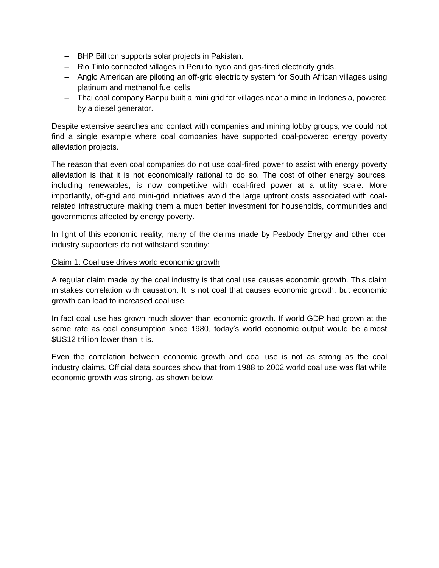- BHP Billiton supports solar projects in Pakistan.
- Rio Tinto connected villages in Peru to hydo and gas-fired electricity grids.
- Anglo American are piloting an off-grid electricity system for South African villages using platinum and methanol fuel cells
- Thai coal company Banpu built a mini grid for villages near a mine in Indonesia, powered by a diesel generator.

Despite extensive searches and contact with companies and mining lobby groups, we could not find a single example where coal companies have supported coal-powered energy poverty alleviation projects.

The reason that even coal companies do not use coal-fired power to assist with energy poverty alleviation is that it is not economically rational to do so. The cost of other energy sources, including renewables, is now competitive with coal-fired power at a utility scale. More importantly, off-grid and mini-grid initiatives avoid the large upfront costs associated with coalrelated infrastructure making them a much better investment for households, communities and governments affected by energy poverty.

In light of this economic reality, many of the claims made by Peabody Energy and other coal industry supporters do not withstand scrutiny:

#### Claim 1: Coal use drives world economic growth

A regular claim made by the coal industry is that coal use causes economic growth. This claim mistakes correlation with causation. It is not coal that causes economic growth, but economic growth can lead to increased coal use.

In fact coal use has grown much slower than economic growth. If world GDP had grown at the same rate as coal consumption since 1980, today's world economic output would be almost \$US12 trillion lower than it is.

Even the correlation between economic growth and coal use is not as strong as the coal industry claims. Official data sources show that from 1988 to 2002 world coal use was flat while economic growth was strong, as shown below: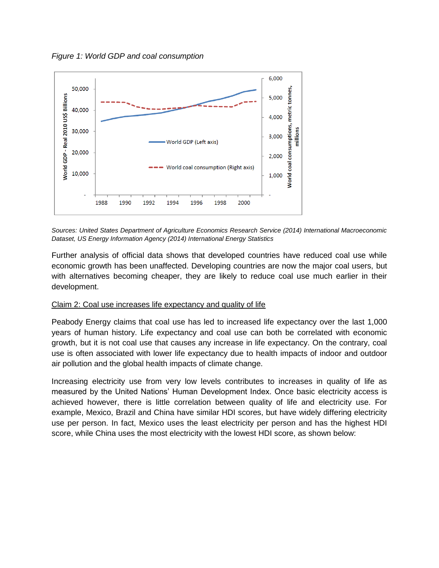*Figure 1: World GDP and coal consumption*



*Sources: United States Department of Agriculture Economics Research Service (2014) International Macroeconomic Dataset, US Energy Information Agency (2014) International Energy Statistics*

Further analysis of official data shows that developed countries have reduced coal use while economic growth has been unaffected. Developing countries are now the major coal users, but with alternatives becoming cheaper, they are likely to reduce coal use much earlier in their development.

#### Claim 2: Coal use increases life expectancy and quality of life

Peabody Energy claims that coal use has led to increased life expectancy over the last 1,000 years of human history. Life expectancy and coal use can both be correlated with economic growth, but it is not coal use that causes any increase in life expectancy. On the contrary, coal use is often associated with lower life expectancy due to health impacts of indoor and outdoor air pollution and the global health impacts of climate change.

Increasing electricity use from very low levels contributes to increases in quality of life as measured by the United Nations' Human Development Index. Once basic electricity access is achieved however, there is little correlation between quality of life and electricity use. For example, Mexico, Brazil and China have similar HDI scores, but have widely differing electricity use per person. In fact, Mexico uses the least electricity per person and has the highest HDI score, while China uses the most electricity with the lowest HDI score, as shown below: